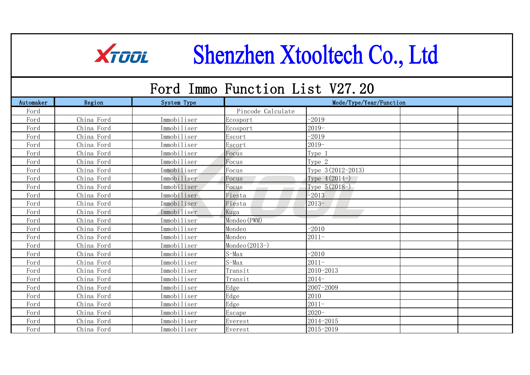## XTOOL Shenzhen Xtooltech Co., Ltd

## Ford Immo Function List V27.20

| Automaker | Region     | System Type | Mode/Type/Year/Function |                     |  |  |
|-----------|------------|-------------|-------------------------|---------------------|--|--|
| Ford      |            |             | Pincode Calculate       |                     |  |  |
| Ford      | China Ford | Immobiliser | Ecosport                | $-2019$             |  |  |
| Ford      | China Ford | Immobiliser | Ecosport                | $2019-$             |  |  |
| Ford      | China Ford | Immobiliser | Escort                  | $-2019$             |  |  |
| Ford      | China Ford | Immobiliser | Escort                  | $2019-$             |  |  |
| Ford      | China Ford | Immobiliser | Focus                   | Type 1              |  |  |
| Ford      | China Ford | Immobiliser | Focus                   | Type 2              |  |  |
| Ford      | China Ford | Immobiliser | Focus                   | Type $3(2012-2013)$ |  |  |
| Ford      | China Ford | Immobiliser | Focus                   | Type $4(2014-)$     |  |  |
| Ford      | China Ford | Immobiliser | Focus                   | Type $5(2018-)$     |  |  |
| Ford      | China Ford | Immobiliser | Fiesta                  | $-2013$             |  |  |
| Ford      | China Ford | Immobiliser | Fiesta                  | $2013-$             |  |  |
| Ford      | China Ford | Immobiliser | Kuga                    |                     |  |  |
| Ford      | China Ford | Immobiliser | Mondeo (PWM)            |                     |  |  |
| Ford      | China Ford | Immobiliser | Mondeo                  | $-2010$             |  |  |
| Ford      | China Ford | Immobiliser | Mondeo                  | $2011 -$            |  |  |
| Ford      | China Ford | Immobiliser | Mondeo (2013-)          |                     |  |  |
| Ford      | China Ford | Immobiliser | $S-Max$                 | $-2010$             |  |  |
| Ford      | China Ford | Immobiliser | $S-MaX$                 | $2011 -$            |  |  |
| Ford      | China Ford | Immobiliser | Transit                 | 2010-2013           |  |  |
| Ford      | China Ford | Immobiliser | Transit                 | $2014-$             |  |  |
| Ford      | China Ford | Immobiliser | Edge                    | 2007-2009           |  |  |
| Ford      | China Ford | Immobiliser | Edge                    | 2010                |  |  |
| Ford      | China Ford | Immobiliser | Edge                    | $2011 -$            |  |  |
| Ford      | China Ford | Immobiliser | Escape                  | $2020 -$            |  |  |
| Ford      | China Ford | Immobiliser | Everest                 | 2014-2015           |  |  |
| Ford      | China Ford | Immobiliser | Everest                 | 2015-2019           |  |  |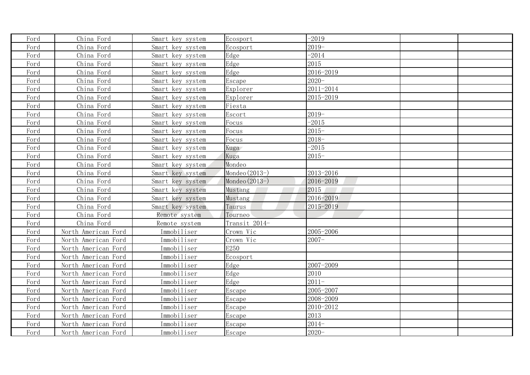| Ford | China Ford          | Smart key system | Ecosport         | $-2019$   |  |
|------|---------------------|------------------|------------------|-----------|--|
| Ford | China Ford          | Smart key system | Ecosport         | $2019-$   |  |
| Ford | China Ford          | Smart key system | Edge             | $-2014$   |  |
| Ford | China Ford          | Smart key system | Edge             | 2015      |  |
| Ford | China Ford          | Smart key system | Edge             | 2016-2019 |  |
| Ford | China Ford          | Smart key system | Escape           | $2020 -$  |  |
| Ford | China Ford          | Smart key system | Explorer         | 2011-2014 |  |
| Ford | China Ford          | Smart key system | Explorer         | 2015-2019 |  |
| Ford | China Ford          | Smart key system | Fiesta           |           |  |
| Ford | China Ford          | Smart key system | Escort           | $2019-$   |  |
| Ford | China Ford          | Smart key system | Focus            | $-2015$   |  |
| Ford | China Ford          | Smart key system | Focus            | $2015 -$  |  |
| Ford | China Ford          | Smart key system | Focus            | $2018-$   |  |
| Ford | China Ford          | Smart key system | Kuga             | $-2015$   |  |
| Ford | China Ford          | Smart key system | Kuga             | $2015 -$  |  |
| Ford | China Ford          | Smart key system | Mondeo           |           |  |
| Ford | China Ford          | Smart key system | Mondeo $(2013-)$ | 2013-2016 |  |
| Ford | China Ford          | Smart key system | Mondeo $(2013-)$ | 2016-2019 |  |
| Ford | China Ford          | Smart key system | Mustang          | 2015      |  |
| Ford | China Ford          | Smart key system | Mustang          | 2016-2019 |  |
| Ford | China Ford          | Smart key system | Taurus           | 2015-2019 |  |
| Ford | China Ford          | Remote system    | Tourneo          |           |  |
| Ford | China Ford          | Remote system    | Transit 2014-    |           |  |
| Ford | North American Ford | Immobiliser      | Crown Vic        | 2005-2006 |  |
| Ford | North American Ford | Immobiliser      | Crown Vic        | $2007 -$  |  |
| Ford | North American Ford | Immobiliser      | E250             |           |  |
| Ford | North American Ford | Immobiliser      | Ecosport         |           |  |
| Ford | North American Ford | Immobiliser      | Edge             | 2007-2009 |  |
| Ford | North American Ford | Immobiliser      | Edge             | 2010      |  |
| Ford | North American Ford | Immobiliser      | Edge             | $2011 -$  |  |
| Ford | North American Ford | Immobiliser      | Escape           | 2005-2007 |  |
| Ford | North American Ford | Immobiliser      | Escape           | 2008-2009 |  |
| Ford | North American Ford | Immobiliser      | Escape           | 2010-2012 |  |
| Ford | North American Ford | Immobiliser      | Escape           | 2013      |  |
| Ford | North American Ford | Immobiliser      | Escape           | $2014-$   |  |
| Ford | North American Ford | Immobiliser      | Escape           | $2020 -$  |  |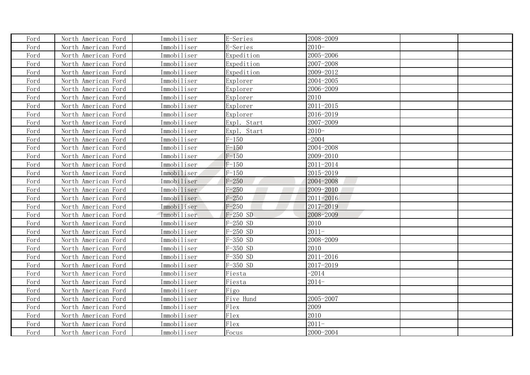| Ford | North American Ford | Immobiliser | E-Series    | 2008-2009 |  |
|------|---------------------|-------------|-------------|-----------|--|
| Ford | North American Ford | Immobiliser | E-Series    | $2010-$   |  |
| Ford | North American Ford | Immobiliser | Expedition  | 2005-2006 |  |
| Ford | North American Ford | Immobiliser | Expedition  | 2007-2008 |  |
| Ford | North American Ford | Immobiliser | Expedition  | 2009-2012 |  |
| Ford | North American Ford | Immobiliser | Explorer    | 2004-2005 |  |
| Ford | North American Ford | Immobiliser | Explorer    | 2006-2009 |  |
| Ford | North American Ford | Immobiliser | Explorer    | 2010      |  |
| Ford | North American Ford | Immobiliser | Explorer    | 2011-2015 |  |
| Ford | North American Ford | Immobiliser | Explorer    | 2016-2019 |  |
| Ford | North American Ford | Immobiliser | Expl. Start | 2007-2009 |  |
| Ford | North American Ford | Immobiliser | Expl. Start | $2010-$   |  |
| Ford | North American Ford | Immobiliser | $F-150$     | $-2004$   |  |
| Ford | North American Ford | Immobiliser | $F-150$     | 2004-2008 |  |
| Ford | North American Ford | Immobiliser | $F-150$     | 2009-2010 |  |
| Ford | North American Ford | Immobiliser | $F-150$     | 2011-2014 |  |
| Ford | North American Ford | Immobiliser | $F-150$     | 2015-2019 |  |
| Ford | North American Ford | Immobiliser | $F - 250$   | 2004-2008 |  |
| Ford | North American Ford | Immobiliser | $F - 250$   | 2009-2010 |  |
| Ford | North American Ford | Immobiliser | $F - 250$   | 2011-2016 |  |
| Ford | North American Ford | Immobiliser | $F - 250$   | 2017-2019 |  |
| Ford | North American Ford | Immobiliser | $F-250$ SD  | 2008-2009 |  |
| Ford | North American Ford | Immobiliser | $F-250$ SD  | 2010      |  |
| Ford | North American Ford | Immobiliser | $F-250$ SD  | $2011-$   |  |
| Ford | North American Ford | Immobiliser | $F-350$ SD  | 2008-2009 |  |
| Ford | North American Ford | Immobiliser | $F-350$ SD  | 2010      |  |
| Ford | North American Ford | Immobiliser | $F-350$ SD  | 2011-2016 |  |
| Ford | North American Ford | Immobiliser | $F-350$ SD  | 2017-2019 |  |
| Ford | North American Ford | Immobiliser | Fiesta      | $-2014$   |  |
| Ford | North American Ford | Immobiliser | Fiesta      | $2014-$   |  |
| Ford | North American Ford | Immobiliser | Figo        |           |  |
| Ford | North American Ford | Immobiliser | Five Hund   | 2005-2007 |  |
| Ford | North American Ford | Immobiliser | Flex        | 2009      |  |
| Ford | North American Ford | Immobiliser | Flex        | 2010      |  |
| Ford | North American Ford | Immobiliser | Flex        | $2011 -$  |  |
| Ford | North American Ford | Immobiliser | Focus       | 2000-2004 |  |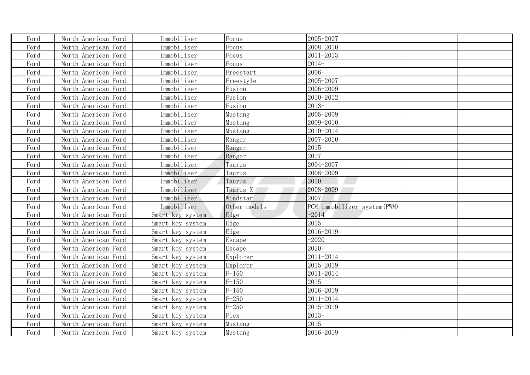| Ford | North American Ford | Immobiliser      | Focus        | 2005-2007                    |  |
|------|---------------------|------------------|--------------|------------------------------|--|
| Ford | North American Ford | Immobiliser      | Focus        | 2008-2010                    |  |
| Ford | North American Ford | Immobiliser      | Focus        | 2011-2013                    |  |
| Ford | North American Ford | Immobiliser      | Focus        | $2014-$                      |  |
| Ford | North American Ford | Immobiliser      | Freestart    | $2006 -$                     |  |
| Ford | North American Ford | Immobiliser      | Freestyle    | 2005-2007                    |  |
| Ford | North American Ford | Immobiliser      | Fusion       | 2006-2009                    |  |
| Ford | North American Ford | Immobiliser      | Fusion       | 2010-2012                    |  |
| Ford | North American Ford | Immobiliser      | Fusion       | $2013-$                      |  |
| Ford | North American Ford | Immobiliser      | Mustang      | 2005-2009                    |  |
| Ford | North American Ford | Immobiliser      | Mustang      | 2009-2010                    |  |
| Ford | North American Ford | Immobiliser      | Mustang      | 2010-2014                    |  |
| Ford | North American Ford | Immobiliser      | Ranger       | 2007-2010                    |  |
| Ford | North American Ford | Immobiliser      | Ranger       | 2015                         |  |
| Ford | North American Ford | Immobiliser      | Ranger       | 2017                         |  |
| Ford | North American Ford | Immobiliser      | Taurus       | 2004-2007                    |  |
| Ford | North American Ford | Immobiliser      | Taurus       | 2008-2009                    |  |
| Ford | North American Ford | Immobiliser      | Taurus       | $2010-$                      |  |
| Ford | North American Ford | Immobiliser      | Taurus X     | 2008-2009                    |  |
| Ford | North American Ford | Immobiliser      | Windstar     | $2007 -$                     |  |
| Ford | North American Ford | Immobiliser      | Other models | PCM immobilizer system (PWM) |  |
| Ford | North American Ford | Smart key system | Edge         | $-2014$                      |  |
| Ford | North American Ford | Smart key system | Edge         | 2015                         |  |
| Ford | North American Ford | Smart key system | Edge         | 2016-2019                    |  |
| Ford | North American Ford | Smart key system | Escape       | $-2020$                      |  |
| Ford | North American Ford | Smart key system | Escape       | $2020 -$                     |  |
| Ford | North American Ford | Smart key system | Explorer     | 2011-2014                    |  |
| Ford | North American Ford | Smart key system | Explorer     | 2015-2019                    |  |
| Ford | North American Ford | Smart key system | $F-150$      | 2011-2014                    |  |
| Ford | North American Ford | Smart key system | $F-150$      | 2015                         |  |
| Ford | North American Ford | Smart key system | $F-150$      | 2016-2019                    |  |
| Ford | North American Ford | Smart key system | $F - 250$    | 2011-2014                    |  |
| Ford | North American Ford | Smart key system | $F - 250$    | 2015-2019                    |  |
| Ford | North American Ford | Smart key system | Flex         | $2013-$                      |  |
| Ford | North American Ford | Smart key system | Mustang      | 2015                         |  |
| Ford | North American Ford | Smart key system | Mustang      | 2016-2019                    |  |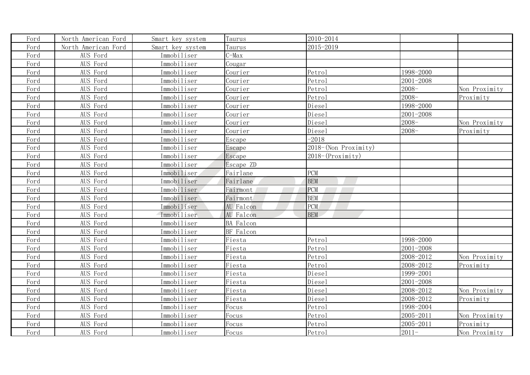| Ford | North American Ford | Smart key system | Taurus           | 2010-2014            |           |               |
|------|---------------------|------------------|------------------|----------------------|-----------|---------------|
| Ford | North American Ford | Smart key system | Taurus           | 2015-2019            |           |               |
| Ford | AUS Ford            | Immobiliser      | C-Max            |                      |           |               |
| Ford | AUS Ford            | Immobiliser      | Cougar           |                      |           |               |
| Ford | AUS Ford            | Immobiliser      | Courier          | Petrol               | 1998-2000 |               |
| Ford | AUS Ford            | Immobiliser      | Courier          | Petrol               | 2001-2008 |               |
| Ford | AUS Ford            | Immobiliser      | Courier          | Petrol               | $2008 -$  | Non Proximity |
| Ford | AUS Ford            | Immobiliser      | Courier          | Petrol               | $2008 -$  | Proximity     |
| Ford | AUS Ford            | Immobiliser      | Courier          | Diesel               | 1998-2000 |               |
| Ford | AUS Ford            | Immobiliser      | Courier          | Diesel               | 2001-2008 |               |
| Ford | AUS Ford            | Immobiliser      | Courier          | Diesel               | $2008 -$  | Non Proximity |
| Ford | AUS Ford            | Immobiliser      | Courier          | Diesel               | $2008 -$  | Proximity     |
| Ford | AUS Ford            | Immobiliser      | Escape           | $-2018$              |           |               |
| Ford | AUS Ford            | Immobiliser      | Escape           | 2018-(Non Proximity) |           |               |
| Ford | AUS Ford            | Immobiliser      | Escape           | $2018-(Proximity)$   |           |               |
| Ford | AUS Ford            | Immobiliser      | Escape ZD        |                      |           |               |
| Ford | AUS Ford            | Immobiliser      | Fairlane         | <b>PCM</b>           |           |               |
| Ford | AUS Ford            | Immobiliser      | Fairlane         | <b>BEM</b>           |           |               |
| Ford | AUS Ford            | Immobiliser      | Fairmont         | <b>PCM</b>           |           |               |
| Ford | AUS Ford            | Immobiliser      | Fairmont         | <b>BEM</b>           |           |               |
| Ford | AUS Ford            | Immobiliser      | AU Falcon        | PCM                  |           |               |
| Ford | AUS Ford            | Immobiliser      | AU Falcon        | <b>BEM</b>           |           |               |
| Ford | AUS Ford            | Immobiliser      | <b>BA</b> Falcon |                      |           |               |
| Ford | AUS Ford            | Immobiliser      | BF Falcon        |                      |           |               |
| Ford | AUS Ford            | Immobiliser      | Fiesta           | Petrol               | 1998-2000 |               |
| Ford | AUS Ford            | Immobiliser      | Fiesta           | Petrol               | 2001-2008 |               |
| Ford | AUS Ford            | Immobiliser      | Fiesta           | Petrol               | 2008-2012 | Non Proximity |
| Ford | AUS Ford            | Immobiliser      | Fiesta           | Petrol               | 2008-2012 | Proximity     |
| Ford | AUS Ford            | Immobiliser      | Fiesta           | Diesel               | 1999-2001 |               |
| Ford | AUS Ford            | Immobiliser      | Fiesta           | Diesel               | 2001-2008 |               |
| Ford | AUS Ford            | Immobiliser      | Fiesta           | Diesel               | 2008-2012 | Non Proximity |
| Ford | AUS Ford            | Immobiliser      | Fiesta           | Diesel               | 2008-2012 | Proximity     |
| Ford | AUS Ford            | Immobiliser      | Focus            | Petrol               | 1998-2004 |               |
| Ford | AUS Ford            | Immobiliser      | Focus            | Petrol               | 2005-2011 | Non Proximity |
| Ford | AUS Ford            | Immobiliser      | Focus            | Petrol               | 2005-2011 | Proximity     |
| Ford | AUS Ford            | Immobiliser      | <b>Focus</b>     | Petrol               | $2011 -$  | Non Proximity |
|      |                     |                  |                  |                      |           |               |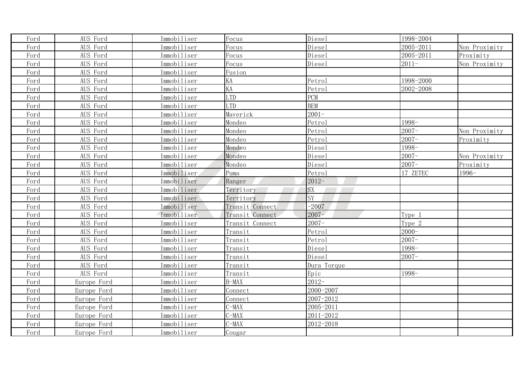| Ford | AUS Ford    | Immobiliser | Focus           | Diesel      | 1998-2004 |               |
|------|-------------|-------------|-----------------|-------------|-----------|---------------|
| Ford | AUS Ford    | Immobiliser | Focus           | Diesel      | 2005-2011 | Non Proximity |
| Ford | AUS Ford    | Immobiliser | Focus           | Diesel      | 2005-2011 | Proximity     |
| Ford | AUS Ford    | Immobiliser | Focus           | Diesel      | $2011 -$  | Non Proximity |
| Ford | AUS Ford    | Immobiliser | Fusion          |             |           |               |
| Ford | AUS Ford    | Immobiliser | KA              | Petrol      | 1998-2000 |               |
| Ford | AUS Ford    | Immobiliser | KA              | Petrol      | 2002-2008 |               |
| Ford | AUS Ford    | Immobiliser | <b>LTD</b>      | PCM         |           |               |
| Ford | AUS Ford    | Immobiliser | <b>LTD</b>      | <b>BEM</b>  |           |               |
| Ford | AUS Ford    | Immobiliser | Maverick        | $2001 -$    |           |               |
| Ford | AUS Ford    | Immobiliser | Mondeo          | Petrol      | 1998-     |               |
| Ford | AUS Ford    | Immobiliser | Mondeo          | Petrol      | $2007 -$  | Non Proximity |
| Ford | AUS Ford    | Immobiliser | Mondeo          | Petrol      | $2007 -$  | Proximity     |
| Ford | AUS Ford    | Immobiliser | Mondeo          | Diesel      | 1998-     |               |
| Ford | AUS Ford    | Immobiliser | Mondeo          | Diesel      | $2007 -$  | Non Proximity |
| Ford | AUS Ford    | Immobiliser | Mondeo          | Diesel      | $2007 -$  | Proximity     |
| Ford | AUS Ford    | Immobiliser | Puma            | Petrol      | 17 ZETEC  | 1996-         |
| Ford | AUS Ford    | Immobiliser | Ranger          | $2012 -$    |           |               |
| Ford | AUS Ford    | Immobiliser | Territory       | SX          |           |               |
| Ford | AUS Ford    | Immobiliser | Territory       | SY          |           |               |
| Ford | AUS Ford    | Immobiliser | Transit Connect | $-2007$     |           |               |
| Ford | AUS Ford    | Immobiliser | Transit Connect | $2007 -$    | Type 1    |               |
| Ford | AUS Ford    | Immobiliser | Transit Connect | $2007 -$    | Type 2    |               |
| Ford | AUS Ford    | Immobiliser | Transit         | Petrol      | $2000 -$  |               |
| Ford | AUS Ford    | Immobiliser | Transit         | Petrol      | $2007 -$  |               |
| Ford | AUS Ford    | Immobiliser | Transit         | Diesel      | 1998-     |               |
| Ford | AUS Ford    | Immobiliser | Transit         | Diesel      | $2007 -$  |               |
| Ford | AUS Ford    | Immobiliser | Transit         | Dura Torque |           |               |
| Ford | AUS Ford    | Immobiliser | Transit         | Epic        | 1998-     |               |
| Ford | Europe Ford | Immobiliser | $B-MAX$         | $2012-$     |           |               |
| Ford | Europe Ford | Immobiliser | Connect         | 2000-2007   |           |               |
| Ford | Europe Ford | Immobiliser | Connect         | 2007-2012   |           |               |
| Ford | Europe Ford | Immobiliser | $C-MAX$         | 2005-2011   |           |               |
| Ford | Europe Ford | Immobiliser | $C-MAX$         | 2011-2012   |           |               |
| Ford | Europe Ford | Immobiliser | $C-MAX$         | 2012-2018   |           |               |
| Ford | Europe Ford | Immobiliser | Cougar          |             |           |               |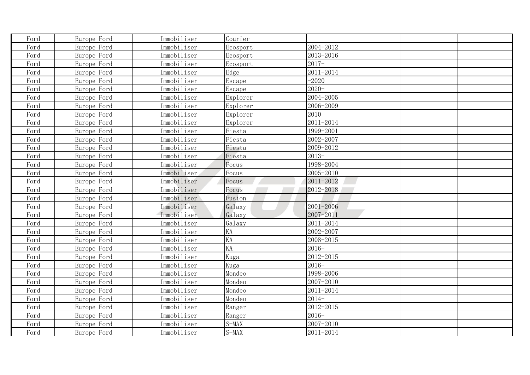| Ford | Europe Ford | Immobiliser | Courier  |               |  |
|------|-------------|-------------|----------|---------------|--|
| Ford | Europe Ford | Immobiliser | Ecosport | 2004-2012     |  |
| Ford | Europe Ford | Immobiliser | Ecosport | 2013-2016     |  |
| Ford | Europe Ford | Immobiliser | Ecosport | $2017-$       |  |
| Ford | Europe Ford | Immobiliser | Edge     | 2011-2014     |  |
| Ford | Europe Ford | Immobiliser | Escape   | $-2020$       |  |
| Ford | Europe Ford | Immobiliser | Escape   | $2020 -$      |  |
| Ford | Europe Ford | Immobiliser | Explorer | 2004-2005     |  |
| Ford | Europe Ford | Immobiliser | Explorer | 2006-2009     |  |
| Ford | Europe Ford | Immobiliser | Explorer | 2010          |  |
| Ford | Europe Ford | Immobiliser | Explorer | 2011-2014     |  |
| Ford | Europe Ford | Immobiliser | Fiesta   | 1999-2001     |  |
| Ford | Europe Ford | Immobiliser | Fiesta   | 2002-2007     |  |
| Ford | Europe Ford | Immobiliser | Fiesta   | 2009-2012     |  |
| Ford | Europe Ford | Immobiliser | Fiesta   | $2013-$       |  |
| Ford | Europe Ford | Immobiliser | Focus    | 1998-2004     |  |
| Ford | Europe Ford | Immobiliser | Focus    | 2005-2010     |  |
| Ford | Europe Ford | Immobiliser | Focus    | 2011-2012     |  |
| Ford | Europe Ford | Immobiliser | Focus    | 2012-2018     |  |
| Ford | Europe Ford | Immobiliser | Fusion   |               |  |
| Ford | Europe Ford | Immobiliser | Galaxy   | $2001 - 2006$ |  |
| Ford | Europe Ford | Immobiliser | Galaxy   | 2007-2011     |  |
| Ford | Europe Ford | Immobiliser | Galaxy   | 2011-2014     |  |
| Ford | Europe Ford | Immobiliser | KA       | 2002-2007     |  |
| Ford | Europe Ford | Immobiliser | KA       | 2008-2015     |  |
| Ford | Europe Ford | Immobiliser | KA       | $2016-$       |  |
| Ford | Europe Ford | Immobiliser | Kuga     | 2012-2015     |  |
| Ford | Europe Ford | Immobiliser | Kuga     | $2016 -$      |  |
| Ford | Europe Ford | Immobiliser | Mondeo   | 1998-2006     |  |
| Ford | Europe Ford | Immobiliser | Mondeo   | 2007-2010     |  |
| Ford | Europe Ford | Immobiliser | Mondeo   | 2011-2014     |  |
| Ford | Europe Ford | Immobiliser | Mondeo   | $2014-$       |  |
| Ford | Europe Ford | Immobiliser | Ranger   | 2012-2015     |  |
| Ford | Europe Ford | Immobiliser | Ranger   | $2016 -$      |  |
| Ford | Europe Ford | Immobiliser | $S-MAX$  | 2007-2010     |  |
| Ford | Europe Ford | Immobiliser | $S-MAX$  | 2011-2014     |  |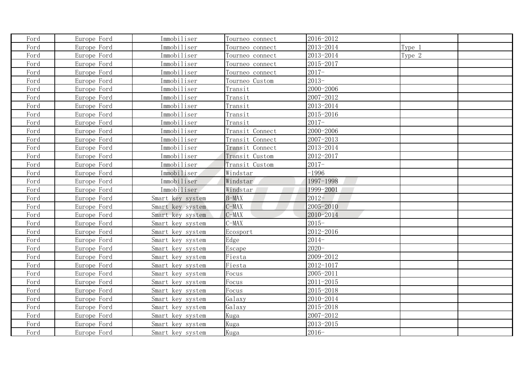| Ford | Europe Ford | Immobiliser      | Tourneo connect | 2016-2012 |        |  |
|------|-------------|------------------|-----------------|-----------|--------|--|
| Ford | Europe Ford | Immobiliser      | Tourneo connect | 2013-2014 | Type 1 |  |
| Ford | Europe Ford | Immobiliser      | Tourneo connect | 2013-2014 | Type 2 |  |
| Ford | Europe Ford | Immobiliser      | Tourneo connect | 2015-2017 |        |  |
| Ford | Europe Ford | Immobiliser      | Tourneo connect | $2017 -$  |        |  |
| Ford | Europe Ford | Immobiliser      | Tourneo Custom  | $2013-$   |        |  |
| Ford | Europe Ford | Immobiliser      | Transit         | 2000-2006 |        |  |
| Ford | Europe Ford | Immobiliser      | Transit         | 2007-2012 |        |  |
| Ford | Europe Ford | Immobiliser      | Transit         | 2013-2014 |        |  |
| Ford | Europe Ford | Immobiliser      | Transit         | 2015-2016 |        |  |
| Ford | Europe Ford | Immobiliser      | Transit         | $2017 -$  |        |  |
| Ford | Europe Ford | Immobiliser      | Transit Connect | 2000-2006 |        |  |
| Ford | Europe Ford | Immobiliser      | Transit Connect | 2007-2013 |        |  |
| Ford | Europe Ford | Immobiliser      | Transit Connect | 2013-2014 |        |  |
| Ford | Europe Ford | Immobiliser      | Transit Custom  | 2012-2017 |        |  |
| Ford | Europe Ford | Immobiliser      | Transit Custom  | $2017-$   |        |  |
| Ford | Europe Ford | Immobiliser      | Windstar        | $-1996$   |        |  |
| Ford | Europe Ford | Immobiliser      | Windstar        | 1997-1998 |        |  |
| Ford | Europe Ford | Immobiliser      | Windstar        | 1999-2001 |        |  |
| Ford | Europe Ford | Smart key system | $B-MAX$         | $2012 -$  |        |  |
| Ford | Europe Ford | Smart key system | $C-MAX$         | 2005-2010 |        |  |
| Ford | Europe Ford | Smart key system | $C-MAX$         | 2010-2014 |        |  |
| Ford | Europe Ford | Smart key system | $C-MAX$         | $2015 -$  |        |  |
| Ford | Europe Ford | Smart key system | Ecosport        | 2012-2016 |        |  |
| Ford | Europe Ford | Smart key system | Edge            | $2014-$   |        |  |
| Ford | Europe Ford | Smart key system | Escape          | $2020 -$  |        |  |
| Ford | Europe Ford | Smart key system | Fiesta          | 2009-2012 |        |  |
| Ford | Europe Ford | Smart key system | Fiesta          | 2012-1017 |        |  |
| Ford | Europe Ford | Smart key system | Focus           | 2005-2011 |        |  |
| Ford | Europe Ford | Smart key system | Focus           | 2011-2015 |        |  |
| Ford | Europe Ford | Smart key system | Focus           | 2015-2018 |        |  |
| Ford | Europe Ford | Smart key system | Galaxy          | 2010-2014 |        |  |
| Ford | Europe Ford | Smart key system | Galaxy          | 2015-2018 |        |  |
| Ford | Europe Ford | Smart key system | Kuga            | 2007-2012 |        |  |
| Ford | Europe Ford | Smart key system | Kuga            | 2013-2015 |        |  |
| Ford | Europe Ford | Smart key system | Kuga            | $2016 -$  |        |  |